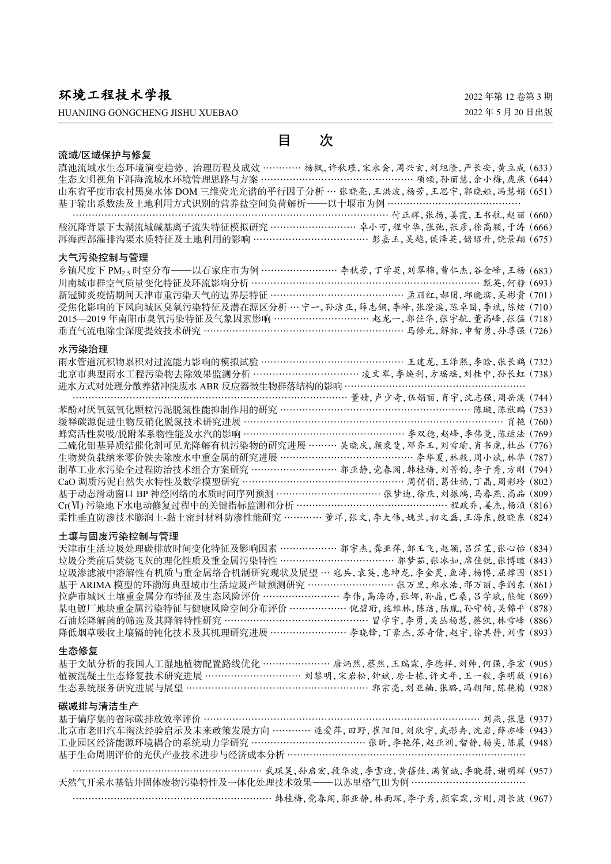环境工程技术学报

HUANJING GONGCHENG JISHU XUEBAO

2022 年第 12 卷第 3 期 2022 年 5 月 20 日出版

| 目<br>次                                                                                                                                                                                                         |
|----------------------------------------------------------------------------------------------------------------------------------------------------------------------------------------------------------------|
| 流域/区域保护与修复                                                                                                                                                                                                     |
| 滇池流域水生态环境演变趋势、治理历程及成效 ………… 杨枫, 许秋瑾, 宋永会, 周兴玄, 刘旭隆, 严长安, 黄立成 (633)                                                                                                                                              |
| 生态文明视角下洱海流域水环境管理思路与方案 …………………………………………… 项颂, 孙丽慧, 余小梅, 庞燕 (644)                                                                                                                                                 |
| 山东省平度市农村黑臭水体 DOM 三维荧光光谱的平行因子分析… 张晓亮, 王洪波, 杨芳, 王思宇, 郭晓娅, 冯慧娟 (651)<br>基于输出系数法及土地利用方式识别的营养盐空间负荷解析——以十堰市为例 ……………………………………                                                                                         |
|                                                                                                                                                                                                                |
|                                                                                                                                                                                                                |
| 大气污染控制与管理                                                                                                                                                                                                      |
| 乡镇尺度下 PM <sub>2.5</sub> 时空分布——以石家庄市为例 …………………… 李秋芳, 丁学英, 刘翠棉, 曹仁杰, 谷金峰, 王杨 (683)<br>川南城市群空气质量变化特征及环流影响分析 …………………………………………………………… 甄英, 何静 (693)<br>新冠肺炎疫情期间天津市重污染天气的边界层特征 …………………………………… 孟丽红, 郝囝, 邛晓滨, 吴彬贵 (701) |
|                                                                                                                                                                                                                |
|                                                                                                                                                                                                                |
| 受焦化影响的下风向城区臭氧污染特征及潜在源区分析… 宁一, 孙洁亚, 薛志钢, 李峰, 张澄溪, 陈卓囧, 李斌, 陈炫 (710)                                                                                                                                             |
| 2015—2019年南阳市臭氧污染特征及气象因素影响 …………………………… 赵龙一, 郭佳华, 张宇航, 董高峰, 张猛 (718)<br>垂直气流电除尘深度提效技术研究 ……………………………………………………… 马修元, 解标, 中智勇, 孙尊强 (726)                                                                           |
|                                                                                                                                                                                                                |
| 水污染治理                                                                                                                                                                                                          |
| 雨水管道沉积物累积对过流能力影响的模拟试验 ………………………………………… 王建龙,王泽熙,李晗,张长鹤 (732)<br>北京市典型雨水工程污染物去除效果监测分析 ……………………………… 凌文翠,李焕利,方瑶瑶,刘桂中,孙长虹 (738)                                                                                     |
| 进水方式对处理分散养猪冲洗废水 ABR 反应器微生物群落结构的影响 …………………………………………………                                                                                                                                                          |
|                                                                                                                                                                                                                |
|                                                                                                                                                                                                                |
|                                                                                                                                                                                                                |
| 二硫化钼基异质结催化剂可见光降解有机污染物的研究进展 ……… 吴晓庆, 颜秉斐, 邓齐玉, 刘雪瑜, 肖书虎, 杜丛 (776)                                                                                                                                               |
| 生物炭负载纳米零价铁去除废水中重金属的研究进展 ……………………………………… 李华夏, 林毅, 周小斌, 林华 (787)                                                                                                                                                 |
|                                                                                                                                                                                                                |
| 制革工业水污染全过程防治技术组合方案研究 ……………………… 郭亚静,党春阁,韩桂梅,刘菁钧,李子秀,方刚 (794)<br>CaO 调质污泥自然失水特性及数学模型研究 ………………………………………… 周俏俏,葛仕福,丁晶,周彩玲 (802)                                                                                     |
| 基于动态滑动窗口 BP 神经网络的水质时间序列预测 ……………………………… 张梦迪,徐庆,刘振鸿,马春燕,高品 (809)<br>Cr(VI) 污染地下水电动修复过程中的关键指标监测和分析 ………………………………………… 程政乔,姜杰,杨浈 (816)                                                                               |
|                                                                                                                                                                                                                |
| 柔性垂直防渗技术膨润土-黏土密封材料防渗性能研究 ………… 董洋,张文,李大伟,姚兰,初文磊,王海东,殷晓东 (824)                                                                                                                                                   |
| 土壤与固废污染控制与管理                                                                                                                                                                                                   |
| 天津市生活垃圾处理碳排放时间变化特征及影响因素 ……………… 郭宇杰, 龚亚萍, 邹玉飞, 赵颖, 吕茳芏, 张心怡 (834)<br>垃圾分类前后焚烧飞灰的理化性质及重金属污染特性 ……………………………… 郭梦茹, 张冰如, 席佳锐, 张博暄 (843)                                                                              |
| 垃圾渗滤液中溶解性有机质与重金属络合机制研究现状及展望… 寇兵,袁英,惠坤龙,李金灵,鱼涛,杨博,屈撑囤 (851)                                                                                                                                                     |
| 基于 ARIMA 模型的环渤海典型城市生活垃圾产量预测研究 ……………………… 张万里, 郑永浩, 邢万丽, 李润东 (861)                                                                                                                                               |
| 拉萨市城区土壤重金属分布特征及生态风险评价 …………………… 李伟,高海涛,张娜,孙晶,巴桑,吕学斌,熊健 (869)                                                                                                                                                    |
| 某电镀厂地块重金属污染特征与健康风险空间分布评价 ……………… 倪碧珩, 施维林, 陈洁, 陆胤, 孙守钧, 吴锦平 (878)                                                                                                                                               |
| 石油烃降解菌的筛选及其降解特性研究 ………………………………………… 冒学宇,李勇,吴丛杨慧,蔡凯,林雪峰 (886)                                                                                                                                                    |
| 降低烟草吸收土壤镉的钝化技术及其机理研究进展 …………………… 李晓锋, 丁豪杰, 苏奇倩, 赵宇, 徐其静, 刘雪 (893)                                                                                                                                               |
| 生态修复                                                                                                                                                                                                           |
| 基于文献分析的我国人工湿地植物配置路线优化 ………………… 唐炳然,蔡然,王瑞霖,李德祥,刘帅,何强,李宏 (905)                                                                                                                                                    |
| 植被混凝土生态修复技术研究进展 …………………………… 刘黎明,宋岩松,钟斌,房士栋,许文年,王一毅,李明薇 (916)<br>生态系统服务研究进展与展望 ………………………………………………… 郭宗亮,刘亚楠,张璐,冯朝阳,陈艳梅 (928)                                                                                     |
|                                                                                                                                                                                                                |
| 碳减排与清洁生产                                                                                                                                                                                                       |
| 基于偏序集的省际碳排放效率评价 ……………………………………………………………………………… 刘燕,张慧 (937)                                                                                                                                                     |
| 北京市老旧汽车淘汰经验启示及未来政策发展方向 ………… 连爱萍, 田野, 崔阳阳, 刘欣宇, 武形冉, 沈岩, 薛亦峰 (943)                                                                                                                                              |
| 工业园区经济能源环境耦合的系统动力学研究 ………………………………… 张昕, 李艳萍, 赵亚洲, 智静, 杨奕, 陈晨 (948)<br>基于生命周期评价的光伏产业技术进步与经济成本分析 …………………………………………………………………                                                                                        |
|                                                                                                                                                                                                                |
| ……………………………………………………… 武琛昊,孙启宏,段华波,李雪迎,黄蓓佳,满贺诚,李晓蔚,谢明辉 (957)                                                                                                                                                    |

天然气开采水基钻井固体废物污染特性及一体化处理技术效果 — 以苏里格气田为例 ……………………………… ………………………………………………………………… 韩桂梅,党春阁,郭亚静,林雨琛,李子秀,颜家霖,方刚,周长波 (967)